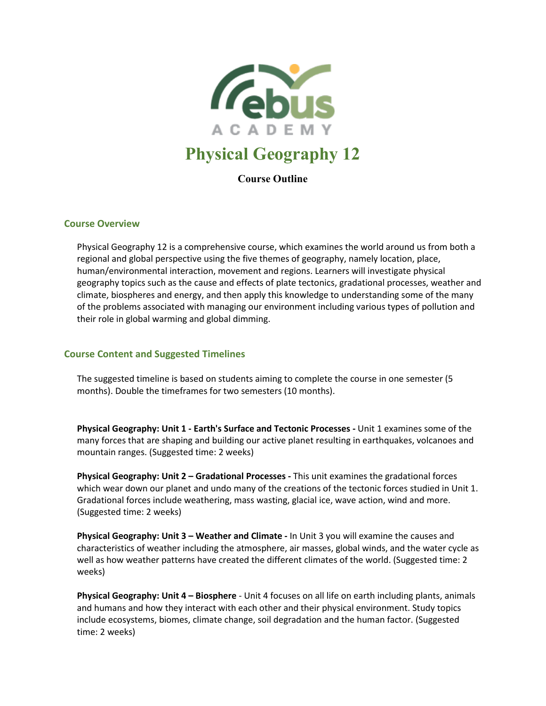

# **Physical Geography 12**

**Course Outline**

### **Course Overview**

Physical Geography 12 is a comprehensive course, which examines the world around us from both a regional and global perspective using the five themes of geography, namely location, place, human/environmental interaction, movement and regions. Learners will investigate physical geography topics such as the cause and effects of plate tectonics, gradational processes, weather and climate, biospheres and energy, and then apply this knowledge to understanding some of the many of the problems associated with managing our environment including various types of pollution and their role in global warming and global dimming.

### **Course Content and Suggested Timelines**

The suggested timeline is based on students aiming to complete the course in one semester (5 months). Double the timeframes for two semesters (10 months).

**Physical Geography: Unit 1 - Earth's Surface and Tectonic Processes -** Unit 1 examines some of the many forces that are shaping and building our active planet resulting in earthquakes, volcanoes and mountain ranges. (Suggested time: 2 weeks)

**Physical Geography: Unit 2 – Gradational Processes -** This unit examines the gradational forces which wear down our planet and undo many of the creations of the tectonic forces studied in Unit 1. Gradational forces include weathering, mass wasting, glacial ice, wave action, wind and more. (Suggested time: 2 weeks)

**Physical Geography: Unit 3 – Weather and Climate -** In Unit 3 you will examine the causes and characteristics of weather including the atmosphere, air masses, global winds, and the water cycle as well as how weather patterns have created the different climates of the world. (Suggested time: 2 weeks)

**Physical Geography: Unit 4 – Biosphere** - Unit 4 focuses on all life on earth including plants, animals and humans and how they interact with each other and their physical environment. Study topics include ecosystems, biomes, climate change, soil degradation and the human factor. (Suggested time: 2 weeks)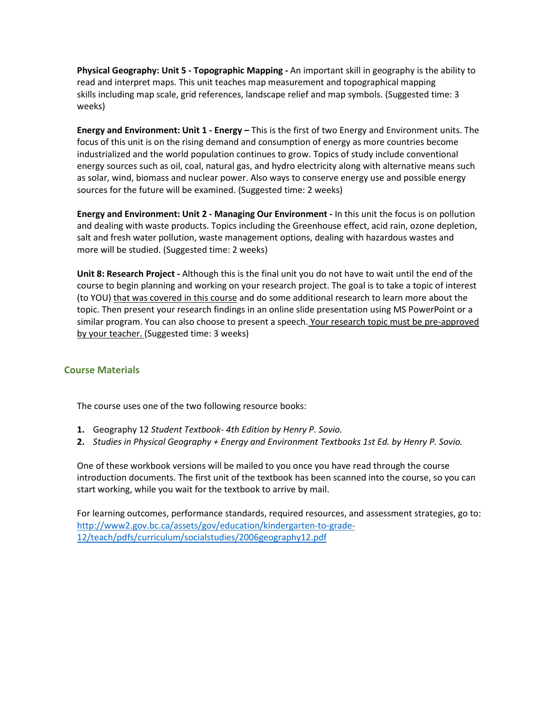**Physical Geography: Unit 5 - Topographic Mapping -** An important skill in geography is the ability to read and interpret maps. This unit teaches map measurement and topographical mapping skills including map scale, grid references, landscape relief and map symbols. (Suggested time: 3 weeks)

**Energy and Environment: Unit 1 - Energy –** This is the first of two Energy and Environment units. The focus of this unit is on the rising demand and consumption of energy as more countries become industrialized and the world population continues to grow. Topics of study include conventional energy sources such as oil, coal, natural gas, and hydro electricity along with alternative means such as solar, wind, biomass and nuclear power. Also ways to conserve energy use and possible energy sources for the future will be examined. (Suggested time: 2 weeks)

**Energy and Environment: Unit 2 - Managing Our Environment -** In this unit the focus is on pollution and dealing with waste products. Topics including the Greenhouse effect, acid rain, ozone depletion, salt and fresh water pollution, waste management options, dealing with hazardous wastes and more will be studied. (Suggested time: 2 weeks)

**Unit 8: Research Project -** Although this is the final unit you do not have to wait until the end of the course to begin planning and working on your research project. The goal is to take a topic of interest (to YOU) that was covered in this course and do some additional research to learn more about the topic. Then present your research findings in an online slide presentation using MS PowerPoint or a similar program. You can also choose to present a speech. Your research topic must be pre-approved by your teacher. (Suggested time: 3 weeks)

### **Course Materials**

The course uses one of the two following resource books:

- **1.** Geography 12 *Student Textbook- 4th Edition by Henry P. Sovio.*
- **2.** *Studies in Physical Geography + Energy and Environment Textbooks 1st Ed. by Henry P. Sovio.*

One of these workbook versions will be mailed to you once you have read through the course introduction documents. The first unit of the textbook has been scanned into the course, so you can start working, while you wait for the textbook to arrive by mail.

For learning outcomes, performance standards, required resources, and assessment strategies, go to: [http://www2.gov.bc.ca/assets/gov/education/kindergarten-to-grade-](http://www2.gov.bc.ca/assets/gov/education/kindergarten-to-grade-12/teach/pdfs/curriculum/socialstudies/2006geography12.pdf)[12/teach/pdfs/curriculum/socialstudies/2006geography12.pdf](http://www2.gov.bc.ca/assets/gov/education/kindergarten-to-grade-12/teach/pdfs/curriculum/socialstudies/2006geography12.pdf)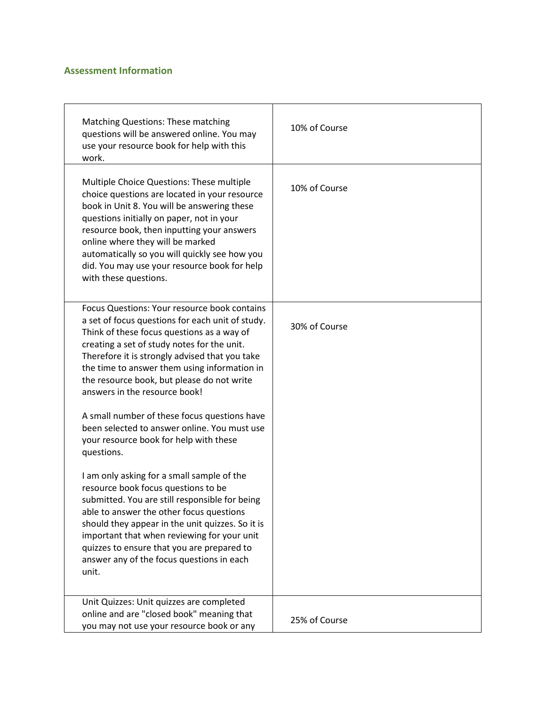## **Assessment Information**

| <b>Matching Questions: These matching</b><br>questions will be answered online. You may<br>use your resource book for help with this<br>work.                                                                                                                                                                                                                                                      | 10% of Course |
|----------------------------------------------------------------------------------------------------------------------------------------------------------------------------------------------------------------------------------------------------------------------------------------------------------------------------------------------------------------------------------------------------|---------------|
| Multiple Choice Questions: These multiple<br>choice questions are located in your resource<br>book in Unit 8. You will be answering these<br>questions initially on paper, not in your<br>resource book, then inputting your answers<br>online where they will be marked<br>automatically so you will quickly see how you<br>did. You may use your resource book for help<br>with these questions. | 10% of Course |
| Focus Questions: Your resource book contains<br>a set of focus questions for each unit of study.<br>Think of these focus questions as a way of<br>creating a set of study notes for the unit.<br>Therefore it is strongly advised that you take<br>the time to answer them using information in<br>the resource book, but please do not write<br>answers in the resource book!                     | 30% of Course |
| A small number of these focus questions have<br>been selected to answer online. You must use<br>your resource book for help with these<br>questions.                                                                                                                                                                                                                                               |               |
| I am only asking for a small sample of the<br>resource book focus questions to be<br>submitted. You are still responsible for being<br>able to answer the other focus questions<br>should they appear in the unit quizzes. So it is<br>important that when reviewing for your unit<br>quizzes to ensure that you are prepared to<br>answer any of the focus questions in each<br>unit.             |               |
| Unit Quizzes: Unit quizzes are completed<br>online and are "closed book" meaning that<br>you may not use your resource book or any                                                                                                                                                                                                                                                                 | 25% of Course |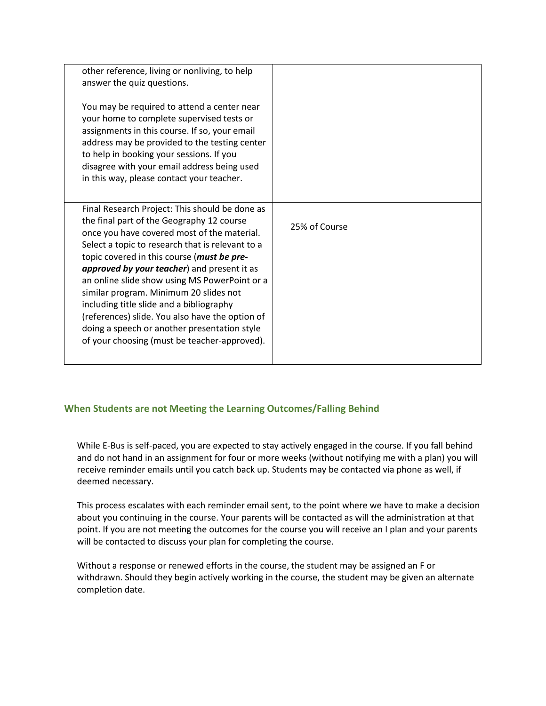| other reference, living or nonliving, to help<br>answer the quiz questions.<br>You may be required to attend a center near<br>your home to complete supervised tests or<br>assignments in this course. If so, your email<br>address may be provided to the testing center<br>to help in booking your sessions. If you<br>disagree with your email address being used<br>in this way, please contact your teacher.                                                                                                                                                                     |               |
|---------------------------------------------------------------------------------------------------------------------------------------------------------------------------------------------------------------------------------------------------------------------------------------------------------------------------------------------------------------------------------------------------------------------------------------------------------------------------------------------------------------------------------------------------------------------------------------|---------------|
| Final Research Project: This should be done as<br>the final part of the Geography 12 course<br>once you have covered most of the material.<br>Select a topic to research that is relevant to a<br>topic covered in this course (must be pre-<br>approved by your teacher) and present it as<br>an online slide show using MS PowerPoint or a<br>similar program. Minimum 20 slides not<br>including title slide and a bibliography<br>(references) slide. You also have the option of<br>doing a speech or another presentation style<br>of your choosing (must be teacher-approved). | 25% of Course |

### **When Students are not Meeting the Learning Outcomes/Falling Behind**

While E-Bus is self-paced, you are expected to stay actively engaged in the course. If you fall behind and do not hand in an assignment for four or more weeks (without notifying me with a plan) you will receive reminder emails until you catch back up. Students may be contacted via phone as well, if deemed necessary.

This process escalates with each reminder email sent, to the point where we have to make a decision about you continuing in the course. Your parents will be contacted as will the administration at that point. If you are not meeting the outcomes for the course you will receive an I plan and your parents will be contacted to discuss your plan for completing the course.

Without a response or renewed efforts in the course, the student may be assigned an F or withdrawn. Should they begin actively working in the course, the student may be given an alternate completion date.